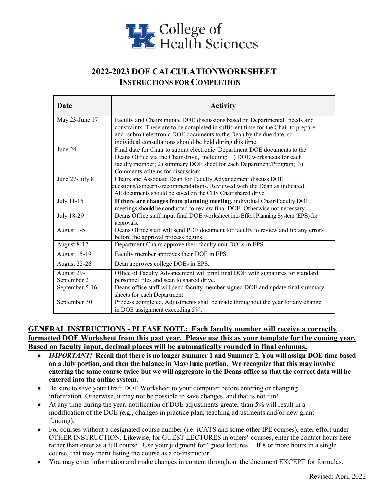

# **2022-2023 DOE CALCULATIONWORKSHEET INSTRUCTIONS FOR COMPLETION**

| <b>Date</b>         | <b>Activity</b>                                                                                  |
|---------------------|--------------------------------------------------------------------------------------------------|
| May 23-June 17      | Faculty and Chairs initiate DOE discussions based on Departmental needs and                      |
|                     | constraints. These are to be completed in sufficient time for the Chair to prepare               |
|                     | and submit electronic DOE documents to the Dean by the due date, so                              |
|                     | individual consultations should be held during this time.                                        |
| June 24             | Final date for Chair to submit electronic Department DOE documents to the                        |
|                     | Deans Office via the Chair drive, including: 1) DOE worksheets for each                          |
|                     | faculty member; 2) summary DOE sheet for each Department/Program; 3)                             |
|                     | Comments of tems for discussion;                                                                 |
| June 27-July 8      | Chairs and Associate Dean for Faculty Advancement discuss DOE                                    |
|                     | questions/concerns/recommendations. Reviewed with the Dean as indicated.                         |
|                     | All documents should be saved on the CHS Chair shared drive.                                     |
| July 11-15          | If there are changes from planning meeting, individual Chair/Faculty DOE                         |
|                     | meetings should be conducted to review final DOE. Otherwise not necessary.                       |
| July 18-29          | Deans Office staff input final DOE worksheet into Effort Planning System (EPS) for<br>approvals. |
| August 1-5          | Deans Office staff will send PDF document for faculty to review and fix any errors               |
|                     | before the approval process begins.                                                              |
| August 8-12         | Department Chairs approve their faculty unit DOEs in EPS.                                        |
| <b>August 15-19</b> | Faculty member approves their DOE in EPS.                                                        |
| August 22-26        | Dean approves college DOEs in EPS.                                                               |
| August 29-          | Office of Faculty Advancement will print final DOE with signatures for standard                  |
| September 2         | personnel files and scan to shared drive.                                                        |
| September 5-16      | Deans office staff will send faculty member signed DOE and update final summary                  |
|                     | sheets for each Department                                                                       |
| September 30        | Process completed. Adjustments shall be made throughout the year for any change                  |
|                     | in DOE assignment exceeding 5%.                                                                  |

### **GENERAL INSTRUCTIONS - PLEASE NOTE: Each faculty member will receive a correctly formatted DOE Worksheet from this past year. Please use this as your template for the coming year. Based on faculty input, decimal places will be automatically rounded in final columns.**

- *IMPORTANT!* **Recall that there is no longer Summer 1 and Summer 2. You will assign DOE time based on a July portion, and then the balance in May/June portion. We recognize that this may involve entering the same course twice but we will aggregate in the Deans office so that the correct data will be entered into the online system.**
- Be sure to save your Draft DOE Worksheet to your computer before entering or changing information. Otherwise, it may not be possible to save changes, and that is not fun!
- At any time during the year, notification of DOE adjustments greater than 5% will result in a modification of the DOE *(*e*.*g., changes in practice plan, teaching adjustments and/or new grant funding).
- For courses without a designated course number (i.e. iCATS and some other IPE courses), enter effort under OTHER INSTRUCTION. Likewise, for GUEST LECTURES in others' courses, enter the contact hours here rather than enter as a full course. Use your judgment for "guest lectures". If 8 or more hours in a single course, that may merit listing the course as a co-instructor.
- You may enter information and make changes in content throughout the document EXCEPT for formulas.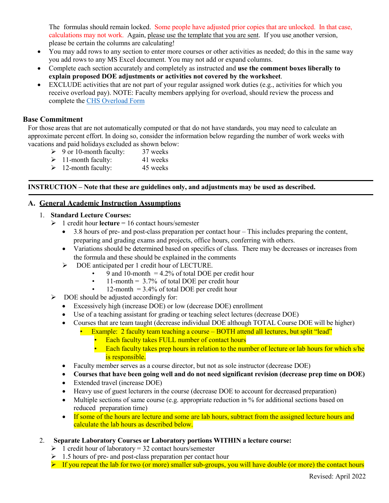The formulas should remain locked. Some people have adjusted prior copies that are unlocked. In that case, calculations may not work. Again, please use the template that you are sent. If you use another version, please be certain the columns are calculating!

- You may add rows to any section to enter more courses or other activities as needed; do this in the same way you add rows to any MS Excel document. You may not add or expand columns.
- Complete each section accurately and completely as instructed and **use the comment boxes liberally to explain proposed DOE adjustments or activities not covered by the worksheet**.
- EXCLUDE activities that are not part of your regular assigned work duties (e.g., activities for which you receive overload pay). NOTE: Faculty members applying for overload, should review the process and complete the [CHS Overload Form](https://www.uky.edu/chs/sites/chs.uky.edu/files/SOP%20Faculty%20Overload%20Process.pdf)

#### **Base Commitment**

For those areas that are not automatically computed or that do not have standards, you may need to calculate an approximate percent effort. In doing so, consider the information below regarding the number of work weeks with vacations and paid holidays excluded as shown below:

- $\geq 9$  or 10-month faculty: 37 weeks
- $\geq 11$ -month faculty: 41 weeks
- $\geq 12$ -month faculty: 45 weeks

#### **INSTRUCTION – Note that these are guidelines only, and adjustments may be used as described.**

#### **A. General Academic Instruction Assumptions**

#### 1. **Standard Lecture Courses:**

- $\geq 1$  credit hour **lecture** = 16 contact hours/semester
	- 3.8 hours of pre- and post-class preparation per contact hour This includes preparing the content, preparing and grading exams and projects, office hours, conferring with others.
	- Variations should be determined based on specifics of class. There may be decreases or increases from the formula and these should be explained in the comments
	- $\triangleright$  DOE anticipated per 1 credit hour of LECTURE.
		- 9 and 10-month  $= 4.2\%$  of total DOE per credit hour
		- 11-month =  $3.7\%$  of total DOE per credit hour
		- 12-month  $= 3.4\%$  of total DOE per credit hour
- $\triangleright$  DOE should be adjusted accordingly for:
	- Excessively high (increase DOE) or low (decrease DOE) enrollment
	- Use of a teaching assistant for grading or teaching select lectures (decrease DOE)
	- Courses that are team taught (decrease individual DOE although TOTAL Course DOE will be higher)
		- Example: 2 faculty team teaching a course BOTH attend all lectures, but split "lead"
			- Each faculty takes FULL number of contact hours
			- Each faculty takes prep hours in relation to the number of lecture or lab hours for which s/he is responsible.
	- Faculty member serves as a course director, but not as sole instructor (decrease DOE)
	- **Courses that have been going well and do not need significant revision (decrease prep time on DOE)**
	- Extended travel (increase DOE)
	- Heavy use of guest lecturers in the course (decrease DOE to account for decreased preparation)
	- Multiple sections of same course (e.g. appropriate reduction in % for additional sections based on reduced preparation time)
	- If some of the hours are lecture and some are lab hours, subtract from the assigned lecture hours and calculate the lab hours as described below.
- 2. **Separate Laboratory Courses or Laboratory portions WITHIN a lecture course:**
	- $\geq 1$  credit hour of laboratory = 32 contact hours/semester
	- $\geq 1.5$  hours of pre- and post-class preparation per contact hour
	- $\triangleright$  If you repeat the lab for two (or more) smaller sub-groups, you will have double (or more) the contact hours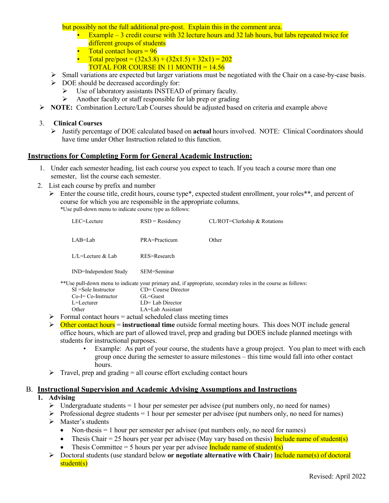but possibly not the full additional pre-post. Explain this in the comment area.

- Example 3 credit course with 32 lecture hours and 32 lab hours, but labs repeated twice for different groups of students
- Total contact hours  $= 96$
- Total pre/post =  $(32x3.8) + (32x1.5) + 32x1$  = 202
	- TOTAL FOR COURSE IN 11 MONTH = 14.56
- $\triangleright$  Small variations are expected but larger variations must be negotiated with the Chair on a case-by-case basis.
- $\triangleright$  DOE should be decreased accordingly for:
	- Use of laboratory assistants INSTEAD of primary faculty.
	- $\triangleright$  Another faculty or staff responsible for lab prep or grading
- **NOTE:** Combination Lecture/Lab Courses should be adjusted based on criteria and example above
- 3. **Clinical Courses**
	- Justify percentage of DOE calculated based on **actual** hours involved. NOTE: Clinical Coordinators should have time under Other Instruction related to this function.

#### **Instructions for Completing Form for General Academic Instruction:**

- 1. Under each semester heading, list each course you expect to teach. If you teach a course more than one semester, list the course each semester.
- 2. List each course by prefix and number
	- Enter the course title, credit hours, course type\*, expected student enrollment, your roles\*\*, and percent of course for which you are responsible in the appropriate columns. \*Use pull-down menu to indicate course type as follows:

LEC=Lecture RSD = Residency CL/ROT=Clerkship & Rotations LAB=Lab PRA=Practicum Other L/L=Lecture & Lab RES=Research IND=Independent Study SEM=Seminar \*\*Use pull-down menu to indicate your primary and, if appropriate, secondary roles in the course as follows: SI =Sole Instructor CD= Course Director<br>Co-I= Co-Instructor GL=Guest Co-I= Co-Instructor L=Lecturer LD= Lab Director Other LA=Lab Assistant

- $\triangleright$  Formal contact hours = actual scheduled class meeting times
- Other contact hours = **instructional time** outside formal meeting hours. This does NOT include general office hours, which are part of allowed travel, prep and grading but DOES include planned meetings with students for instructional purposes.
	- Example: As part of your course, the students have a group project. You plan to meet with each group once during the semester to assure milestones – this time would fall into other contact hours.
- $\triangleright$  Travel, prep and grading = all course effort excluding contact hours

#### B. **Instructional Supervision and Academic Advising Assumptions and Instructions**

### **1. Advising**

- $\triangleright$  Undergraduate students = 1 hour per semester per advisee (put numbers only, no need for names)
- $\triangleright$  Professional degree students = 1 hour per semester per advisee (put numbers only, no need for names)
- > Master's students
	- Non-thesis  $= 1$  hour per semester per advisee (put numbers only, no need for names)
	- Thesis Chair  $= 25$  hours per year per advisee (May vary based on thesis) Include name of student(s)
	- Thesis Committee = 5 hours per year per advisee  $Include name of student(s)$
- Doctoral students (use standard below **or negotiate alternative with Chair**) Include name(s) of doctoral student(s)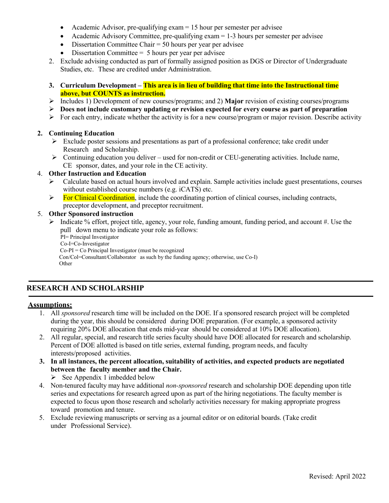- Academic Advisor, pre-qualifying exam = 15 hour per semester per advisee
- Academic Advisory Committee, pre-qualifying  $exam = 1-3$  hours per semester per advisee
- Dissertation Committee Chair = 50 hours per year per advisee
- Dissertation Committee  $= 5$  hours per year per advisee
- 2. Exclude advising conducted as part of formally assigned position as DGS or Director of Undergraduate Studies, etc. These are credited under Administration.
- **3. Curriculum Development This area is in lieu of building that time into the Instructional time above, but COUNTS as instruction.**
- Includes 1) Development of new courses/programs; and 2) **Major** revision of existing courses/programs
- **Does not include customary updating or revision expected for every course as part of preparation**
- $\triangleright$  For each entry, indicate whether the activity is for a new course/program or major revision. Describe activity

#### **2. Continuing Education**

- $\triangleright$  Exclude poster sessions and presentations as part of a professional conference; take credit under Research and Scholarship.
- $\triangleright$  Continuing education you deliver used for non-credit or CEU-generating activities. Include name, CE sponsor, dates, and your role in the CE activity.

#### 4. **Other Instruction and Education**

- Calculate based on actual hours involved and explain. Sample activities include guest presentations, courses without established course numbers (e.g. iCATS) etc.
- $\triangleright$  For Clinical Coordination, include the coordinating portion of clinical courses, including contracts, preceptor development, and preceptor recruitment.

#### 5. **Other Sponsored instruction**

 $\triangleright$  Indicate % effort, project title, agency, your role, funding amount, funding period, and account #. Use the pull down menu to indicate your role as follows:

PI= Principal Investigator Co-I=Co-Investigator Co-PI = Co Principal Investigator (must be recognized Con/Col=Consultant/Collaborator as such by the funding agency; otherwise, use Co-I) **Other** 

### **RESEARCH AND SCHOLARSHIP**

#### **Assumptions:**

- 1. All *sponsored* research time will be included on the DOE. If a sponsored research project will be completed during the year, this should be considered during DOE preparation. (For example, a sponsored activity requiring 20% DOE allocation that ends mid-year should be considered at 10% DOE allocation).
- 2. All regular, special, and research title series faculty should have DOE allocated for research and scholarship. Percent of DOE allotted is based on title series, external funding, program needs, and faculty interests/proposed activities.
- **3. In all instances, the percent allocation, suitability of activities, and expected products are negotiated between the faculty member and the Chair.**

 $\triangleright$  See Appendix 1 imbedded below

- 4. Non-tenured faculty may have additional *non-sponsored* research and scholarship DOE depending upon title series and expectations for research agreed upon as part of the hiring negotiations. The faculty member is expected to focus upon those research and scholarly activities necessary for making appropriate progress toward promotion and tenure.
- 5. Exclude reviewing manuscripts or serving as a journal editor or on editorial boards. (Take credit under Professional Service).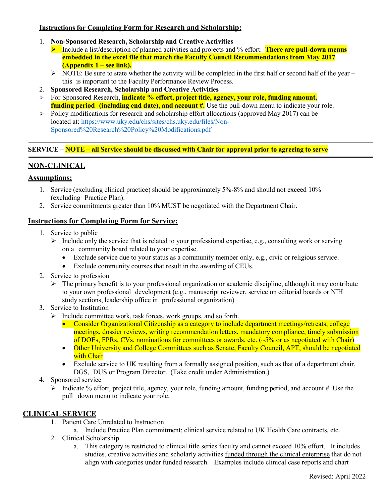### **Instructions for Completing Form for Research and Scholarship:**

- 1. **Non-Sponsored Research, Scholarship and Creative Activities**
	- **►** Include a list/description of planned activities and projects and % effort. There are pull-down menus **embedded in the excel file that match the Faculty Council Recommendations from May 2017 (Appendix 1 – see link).**
	- $\triangleright$  NOTE: Be sure to state whether the activity will be completed in the first half or second half of the year this is important to the Faculty Performance Review Process.
- 2. **Sponsored Research, Scholarship and Creative Activities**
- For Sponsored Research, **indicate % effort, project title, agency, your role, funding amount, funding period (including end date), and account #.** Use the pull-down menu to indicate your role.
- $\triangleright$  Policy modifications for research and scholarship effort allocations (approved May 2017) can be located at[: https://www.uky.edu/chs/sites/chs.uky.edu/files/Non-](https://www.uky.edu/chs/sites/chs.uky.edu/files/Non-Sponsored%20Research%20Policy%20Modifications.pdf)[Sponsored%20Research%20Policy%20Modifications.pdf](https://www.uky.edu/chs/sites/chs.uky.edu/files/Non-Sponsored%20Research%20Policy%20Modifications.pdf)

### **SERVICE – NOTE – all Service should be discussed with Chair for approval prior to agreeing to serve**

# **NON-CLINICAL**

### **Assumptions:**

- 1. Service (excluding clinical practice) should be approximately 5%-8% and should not exceed 10% (excluding Practice Plan).
- 2. Service commitments greater than 10% MUST be negotiated with the Department Chair.

### **Instructions for Completing Form for Service:**

- 1. Service to public
	- $\triangleright$  Include only the service that is related to your professional expertise, e.g., consulting work or serving on a community board related to your expertise.
		- Exclude service due to your status as a community member only, e.g., civic or religious service.
		- Exclude community courses that result in the awarding of CEUs.
- 2. Service to profession
	- $\triangleright$  The primary benefit is to your professional organization or academic discipline, although it may contribute to your own professional development (e.g., manuscript reviewer, service on editorial boards or NIH study sections, leadership office in professional organization)

### 3. Service to Institution

- $\triangleright$  Include committee work, task forces, work groups, and so forth.
	- Consider Organizational Citizenship as a category to include department meetings/retreats, college meetings, dossier reviews, writing recommendation letters, mandatory compliance, timely submission of DOEs, FPRs, CVs, nominations for committees or awards, etc. (~5% or as negotiated with Chair)
	- Other University and College Committees such as Senate, Faculty Council, APT, should be negotiated with Chair
	- Exclude service to UK resulting from a formally assigned position, such as that of a department chair, DGS, DUS or Program Director. (Take credit under Administration.)
- 4. Sponsored service
	- $\triangleright$  Indicate % effort, project title, agency, your role, funding amount, funding period, and account #. Use the pull down menu to indicate your role.

# **CLINICAL SERVICE**

- 1. Patient Care Unrelated to Instruction
	- a. Include Practice Plan commitment; clinical service related to UK Health Care contracts, etc.
- 2. Clinical Scholarship
	- a. This category is restricted to clinical title series faculty and cannot exceed 10% effort. It includes studies, creative activities and scholarly activities funded through the clinical enterprise that do not align with categories under funded research. Examples include clinical case reports and chart